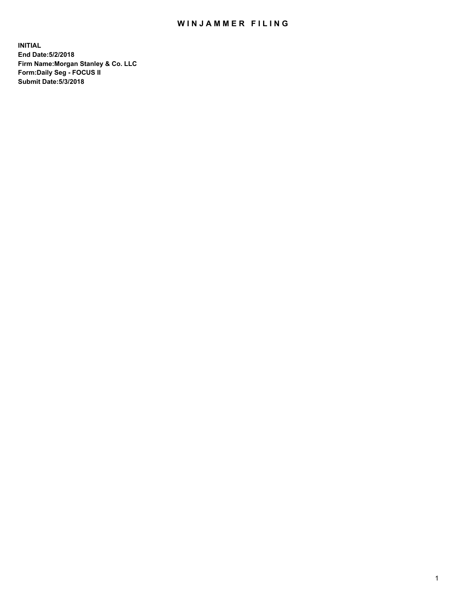## WIN JAMMER FILING

**INITIAL End Date:5/2/2018 Firm Name:Morgan Stanley & Co. LLC Form:Daily Seg - FOCUS II Submit Date:5/3/2018**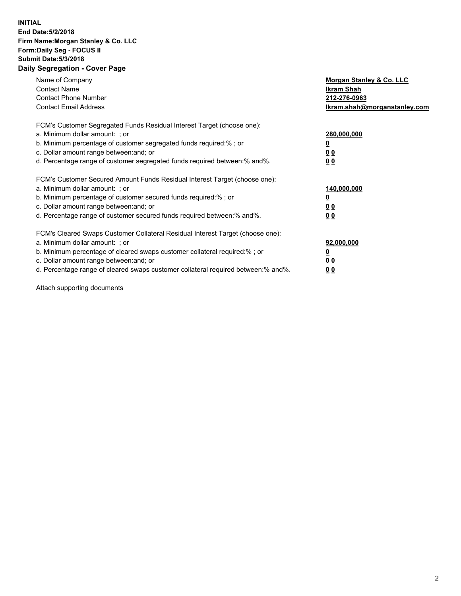## **INITIAL End Date:5/2/2018 Firm Name:Morgan Stanley & Co. LLC Form:Daily Seg - FOCUS II Submit Date:5/3/2018 Daily Segregation - Cover Page**

| Name of Company<br><b>Contact Name</b><br><b>Contact Phone Number</b><br><b>Contact Email Address</b>                                                                                                                                                                                                                          | Morgan Stanley & Co. LLC<br><b>Ikram Shah</b><br>212-276-0963<br>Ikram.shah@morganstanley.com |
|--------------------------------------------------------------------------------------------------------------------------------------------------------------------------------------------------------------------------------------------------------------------------------------------------------------------------------|-----------------------------------------------------------------------------------------------|
| FCM's Customer Segregated Funds Residual Interest Target (choose one):<br>a. Minimum dollar amount: ; or<br>b. Minimum percentage of customer segregated funds required:%; or<br>c. Dollar amount range between: and; or<br>d. Percentage range of customer segregated funds required between: % and %.                        | 280,000,000<br><u>0</u><br>0 <sub>0</sub><br>0 <sub>0</sub>                                   |
| FCM's Customer Secured Amount Funds Residual Interest Target (choose one):<br>a. Minimum dollar amount: ; or<br>b. Minimum percentage of customer secured funds required:%; or<br>c. Dollar amount range between: and; or<br>d. Percentage range of customer secured funds required between: % and %.                          | 140,000,000<br>0 <sub>0</sub><br>0 <sub>0</sub>                                               |
| FCM's Cleared Swaps Customer Collateral Residual Interest Target (choose one):<br>a. Minimum dollar amount: ; or<br>b. Minimum percentage of cleared swaps customer collateral required:% ; or<br>c. Dollar amount range between: and; or<br>d. Percentage range of cleared swaps customer collateral required between:% and%. | 92,000,000<br>0 <sub>0</sub><br>0 <sub>0</sub>                                                |

Attach supporting documents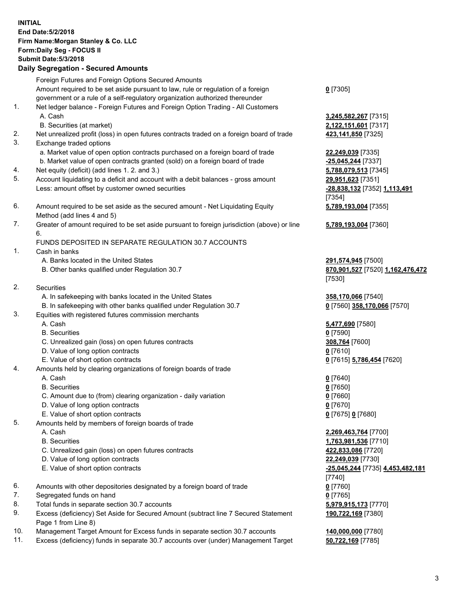## **INITIAL End Date:5/2/2018 Firm Name:Morgan Stanley & Co. LLC Form:Daily Seg - FOCUS II Submit Date:5/3/2018 Daily Segregation - Secured Amounts** Foreign Futures and Foreign Options Secured Amounts Amount required to be set aside pursuant to law, rule or regulation of a foreign government or a rule of a self-regulatory organization authorized thereunder **0** [7305] 1. Net ledger balance - Foreign Futures and Foreign Option Trading - All Customers A. Cash **3,245,582,267** [7315] B. Securities (at market) **2,122,151,601** [7317] 2. Net unrealized profit (loss) in open futures contracts traded on a foreign board of trade **423,141,850** [7325] 3. Exchange traded options a. Market value of open option contracts purchased on a foreign board of trade **22,249,039** [7335] b. Market value of open contracts granted (sold) on a foreign board of trade **-25,045,244** [7337] 4. Net equity (deficit) (add lines 1. 2. and 3.) **5,788,079,513** [7345] 5. Account liquidating to a deficit and account with a debit balances - gross amount **29,951,623** [7351] Less: amount offset by customer owned securities **-28,838,132** [7352] **1,113,491** [7354] 6. Amount required to be set aside as the secured amount - Net Liquidating Equity Method (add lines 4 and 5) **5,789,193,004** [7355] 7. Greater of amount required to be set aside pursuant to foreign jurisdiction (above) or line 6. **5,789,193,004** [7360] FUNDS DEPOSITED IN SEPARATE REGULATION 30.7 ACCOUNTS 1. Cash in banks A. Banks located in the United States **291,574,945** [7500] B. Other banks qualified under Regulation 30.7 **870,901,527** [7520] **1,162,476,472** [7530] 2. Securities A. In safekeeping with banks located in the United States **358,170,066** [7540] B. In safekeeping with other banks qualified under Regulation 30.7 **0** [7560] **358,170,066** [7570] 3. Equities with registered futures commission merchants A. Cash **5,477,690** [7580] B. Securities **0** [7590] C. Unrealized gain (loss) on open futures contracts **308,764** [7600] D. Value of long option contracts **0** [7610] E. Value of short option contracts **0** [7615] **5,786,454** [7620] 4. Amounts held by clearing organizations of foreign boards of trade A. Cash **0** [7640] B. Securities **0** [7650] C. Amount due to (from) clearing organization - daily variation **0** [7660] D. Value of long option contracts **0** [7670] E. Value of short option contracts **0** [7675] **0** [7680] 5. Amounts held by members of foreign boards of trade A. Cash **2,269,463,764** [7700] B. Securities **1,763,981,536** [7710] C. Unrealized gain (loss) on open futures contracts **422,833,086** [7720] D. Value of long option contracts **22,249,039** [7730] E. Value of short option contracts **-25,045,244** [7735] **4,453,482,181** [7740] 6. Amounts with other depositories designated by a foreign board of trade **0** [7760] 7. Segregated funds on hand **0** [7765] 8. Total funds in separate section 30.7 accounts **5,979,915,173** [7770] 9. Excess (deficiency) Set Aside for Secured Amount (subtract line 7 Secured Statement **190,722,169** [7380]

- Page 1 from Line 8) 10. Management Target Amount for Excess funds in separate section 30.7 accounts **140,000,000** [7780]
- 11. Excess (deficiency) funds in separate 30.7 accounts over (under) Management Target **50,722,169** [7785]

3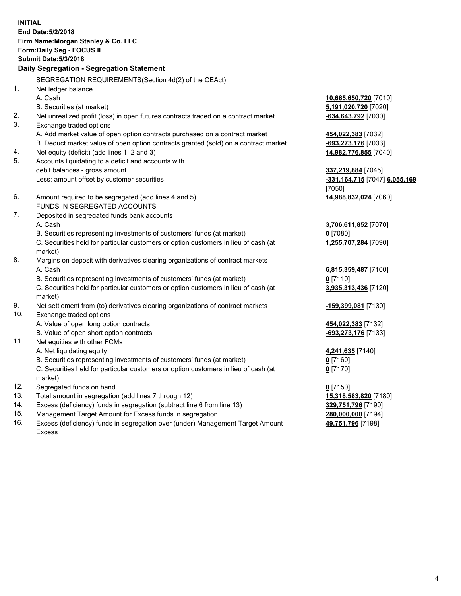**INITIAL End Date:5/2/2018 Firm Name:Morgan Stanley & Co. LLC Form:Daily Seg - FOCUS II Submit Date:5/3/2018 Daily Segregation - Segregation Statement** SEGREGATION REQUIREMENTS(Section 4d(2) of the CEAct) 1. Net ledger balance A. Cash **10,665,650,720** [7010] B. Securities (at market) **5,191,020,720** [7020] 2. Net unrealized profit (loss) in open futures contracts traded on a contract market **-634,643,792** [7030] 3. Exchange traded options A. Add market value of open option contracts purchased on a contract market **454,022,383** [7032] B. Deduct market value of open option contracts granted (sold) on a contract market **-693,273,176** [7033] 4. Net equity (deficit) (add lines 1, 2 and 3) **14,982,776,855** [7040] 5. Accounts liquidating to a deficit and accounts with debit balances - gross amount **337,219,884** [7045] Less: amount offset by customer securities **-331,164,715** [7047] **6,055,169** [7050] 6. Amount required to be segregated (add lines 4 and 5) **14,988,832,024** [7060] FUNDS IN SEGREGATED ACCOUNTS 7. Deposited in segregated funds bank accounts A. Cash **3,706,611,852** [7070] B. Securities representing investments of customers' funds (at market) **0** [7080] C. Securities held for particular customers or option customers in lieu of cash (at market) **1,255,707,284** [7090] 8. Margins on deposit with derivatives clearing organizations of contract markets A. Cash **6,815,359,487** [7100] B. Securities representing investments of customers' funds (at market) **0** [7110] C. Securities held for particular customers or option customers in lieu of cash (at market) **3,935,313,436** [7120] 9. Net settlement from (to) derivatives clearing organizations of contract markets **-159,399,081** [7130] 10. Exchange traded options A. Value of open long option contracts **454,022,383** [7132] B. Value of open short option contracts **-693,273,176** [7133] 11. Net equities with other FCMs A. Net liquidating equity **4,241,635** [7140] B. Securities representing investments of customers' funds (at market) **0** [7160] C. Securities held for particular customers or option customers in lieu of cash (at market) **0** [7170] 12. Segregated funds on hand **0** [7150] 13. Total amount in segregation (add lines 7 through 12) **15,318,583,820** [7180] 14. Excess (deficiency) funds in segregation (subtract line 6 from line 13) **329,751,796** [7190] 15. Management Target Amount for Excess funds in segregation **280,000,000** [7194] **49,751,796** [7198]

16. Excess (deficiency) funds in segregation over (under) Management Target Amount Excess